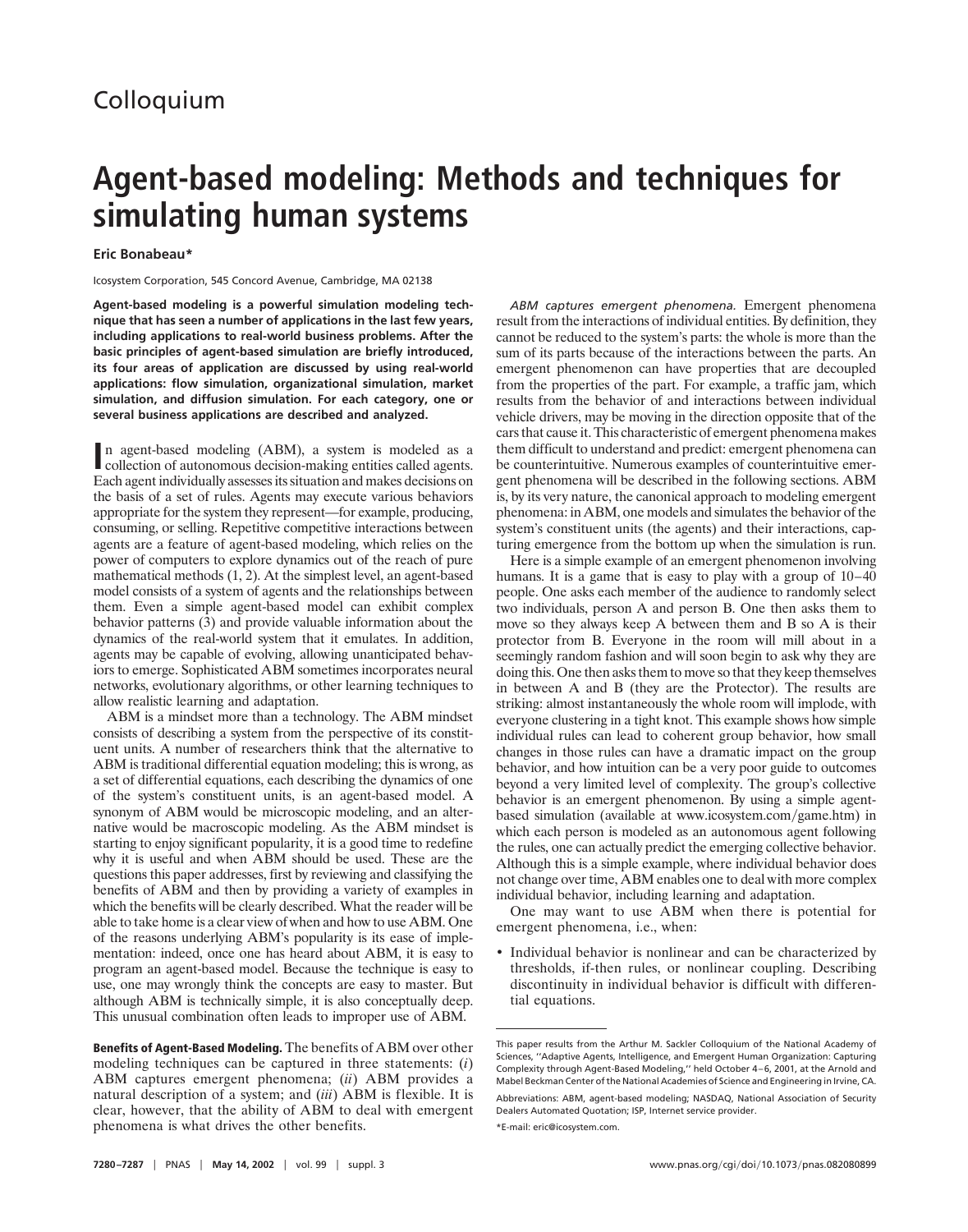## **Colloquium**

# **Agent-based modeling: Methods and techniques for simulating human systems**

#### **Eric Bonabeau\***

Icosystem Corporation, 545 Concord Avenue, Cambridge, MA 02138

**Agent-based modeling is a powerful simulation modeling technique that has seen a number of applications in the last few years, including applications to real-world business problems. After the basic principles of agent-based simulation are briefly introduced, its four areas of application are discussed by using real-world applications: flow simulation, organizational simulation, market simulation, and diffusion simulation. For each category, one or several business applications are described and analyzed.**

In agent-based modeling (ABM), a system is modeled as a collection of autonomous decision-making entities called agents. collection of autonomous decision-making entities called agents. Each agent individually assesses its situation and makes decisions on the basis of a set of rules. Agents may execute various behaviors appropriate for the system they represent—for example, producing, consuming, or selling. Repetitive competitive interactions between agents are a feature of agent-based modeling, which relies on the power of computers to explore dynamics out of the reach of pure mathematical methods (1, 2). At the simplest level, an agent-based model consists of a system of agents and the relationships between them. Even a simple agent-based model can exhibit complex behavior patterns (3) and provide valuable information about the dynamics of the real-world system that it emulates. In addition, agents may be capable of evolving, allowing unanticipated behaviors to emerge. Sophisticated ABM sometimes incorporates neural networks, evolutionary algorithms, or other learning techniques to allow realistic learning and adaptation.

ABM is a mindset more than a technology. The ABM mindset consists of describing a system from the perspective of its constituent units. A number of researchers think that the alternative to ABM is traditional differential equation modeling; this is wrong, as a set of differential equations, each describing the dynamics of one of the system's constituent units, is an agent-based model. A synonym of ABM would be microscopic modeling, and an alternative would be macroscopic modeling. As the ABM mindset is starting to enjoy significant popularity, it is a good time to redefine why it is useful and when ABM should be used. These are the questions this paper addresses, first by reviewing and classifying the benefits of ABM and then by providing a variety of examples in which the benefits will be clearly described. What the reader will be able to take home is a clear view of when and how to use ABM. One of the reasons underlying ABM's popularity is its ease of implementation: indeed, once one has heard about ABM, it is easy to program an agent-based model. Because the technique is easy to use, one may wrongly think the concepts are easy to master. But although ABM is technically simple, it is also conceptually deep. This unusual combination often leads to improper use of ABM.

**Benefits of Agent-Based Modeling.** The benefits of ABM over other modeling techniques can be captured in three statements: (*i*) ABM captures emergent phenomena; (*ii*) ABM provides a natural description of a system; and (*iii*) ABM is flexible. It is clear, however, that the ability of ABM to deal with emergent phenomena is what drives the other benefits.

*ABM captures emergent phenomena.* Emergent phenomena result from the interactions of individual entities. By definition, they cannot be reduced to the system's parts: the whole is more than the sum of its parts because of the interactions between the parts. An emergent phenomenon can have properties that are decoupled from the properties of the part. For example, a traffic jam, which results from the behavior of and interactions between individual vehicle drivers, may be moving in the direction opposite that of the cars that cause it. This characteristic of emergent phenomena makes them difficult to understand and predict: emergent phenomena can be counterintuitive. Numerous examples of counterintuitive emergent phenomena will be described in the following sections. ABM is, by its very nature, the canonical approach to modeling emergent phenomena: in ABM, one models and simulates the behavior of the system's constituent units (the agents) and their interactions, capturing emergence from the bottom up when the simulation is run.

Here is a simple example of an emergent phenomenon involving humans. It is a game that is easy to play with a group of  $10-40$ people. One asks each member of the audience to randomly select two individuals, person A and person B. One then asks them to move so they always keep A between them and B so A is their protector from B. Everyone in the room will mill about in a seemingly random fashion and will soon begin to ask why they are doing this. One then asks them to move so that they keep themselves in between A and B (they are the Protector). The results are striking: almost instantaneously the whole room will implode, with everyone clustering in a tight knot. This example shows how simple individual rules can lead to coherent group behavior, how small changes in those rules can have a dramatic impact on the group behavior, and how intuition can be a very poor guide to outcomes beyond a very limited level of complexity. The group's collective behavior is an emergent phenomenon. By using a simple agentbased simulation (available at www.icosystem.com/game.htm) in which each person is modeled as an autonomous agent following the rules, one can actually predict the emerging collective behavior. Although this is a simple example, where individual behavior does not change over time, ABM enables one to deal with more complex individual behavior, including learning and adaptation.

One may want to use ABM when there is potential for emergent phenomena, i.e., when:

• Individual behavior is nonlinear and can be characterized by thresholds, if-then rules, or nonlinear coupling. Describing discontinuity in individual behavior is difficult with differential equations.

This paper results from the Arthur M. Sackler Colloquium of the National Academy of Sciences, ''Adaptive Agents, Intelligence, and Emergent Human Organization: Capturing Complexity through Agent-Based Modeling,'' held October 4–6, 2001, at the Arnold and Mabel Beckman Center of the National Academies of Science and Engineering in Irvine, CA.

Abbreviations: ABM, agent-based modeling; NASDAQ, National Association of Security Dealers Automated Quotation; ISP, Internet service provider.

<sup>\*</sup>E-mail: eric@icosystem.com.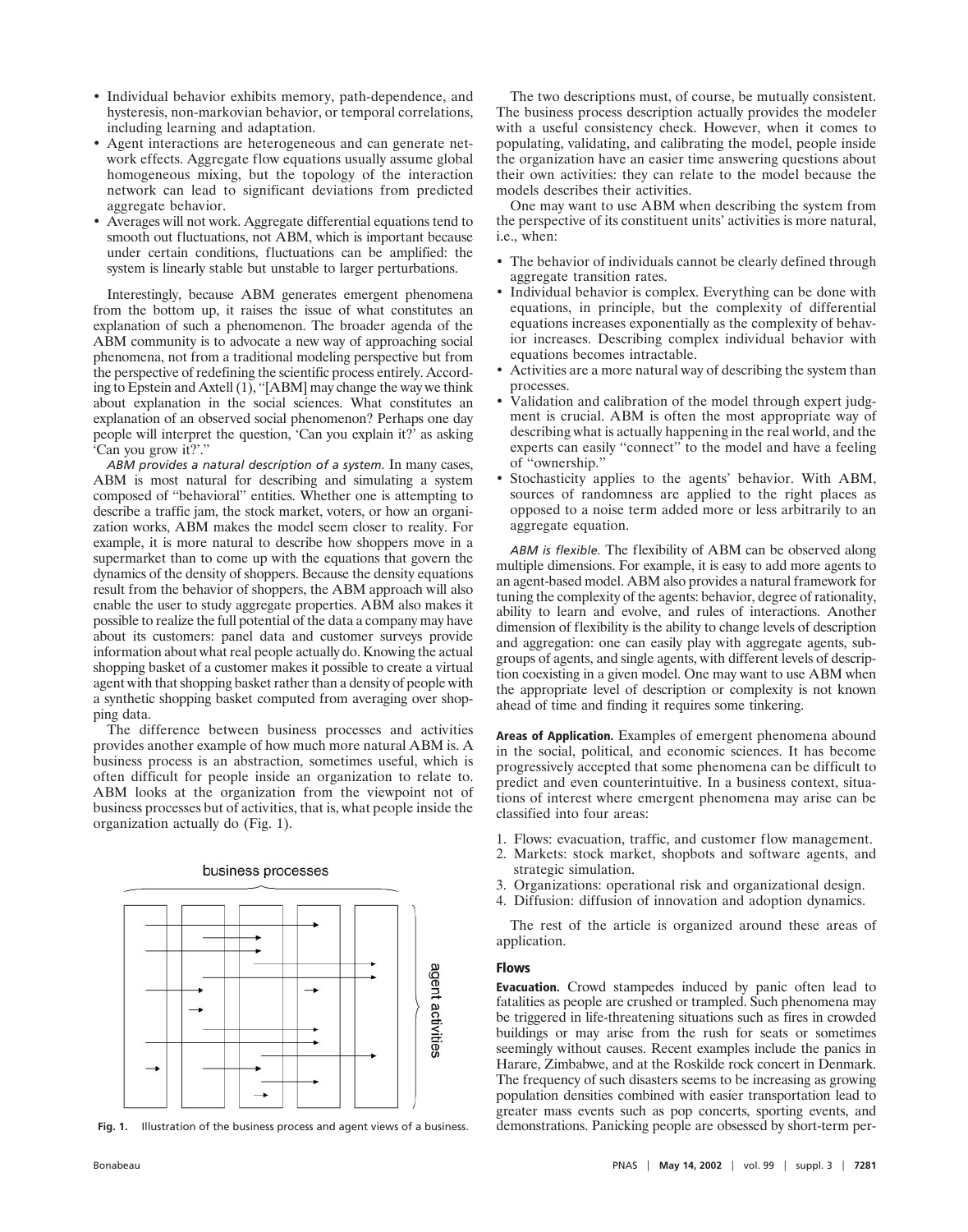- Individual behavior exhibits memory, path-dependence, and hysteresis, non-markovian behavior, or temporal correlations, including learning and adaptation.
- Agent interactions are heterogeneous and can generate network effects. Aggregate flow equations usually assume global homogeneous mixing, but the topology of the interaction network can lead to significant deviations from predicted aggregate behavior.
- Averages will not work. Aggregate differential equations tend to smooth out fluctuations, not ABM, which is important because under certain conditions, fluctuations can be amplified: the system is linearly stable but unstable to larger perturbations.

Interestingly, because ABM generates emergent phenomena from the bottom up, it raises the issue of what constitutes an explanation of such a phenomenon. The broader agenda of the ABM community is to advocate a new way of approaching social phenomena, not from a traditional modeling perspective but from the perspective of redefining the scientific process entirely. According to Epstein and Axtell (1), ''[ABM] may change the way we think about explanation in the social sciences. What constitutes an explanation of an observed social phenomenon? Perhaps one day people will interpret the question, 'Can you explain it?' as asking 'Can you grow it?'.''

*ABM provides a natural description of a system.* In many cases, ABM is most natural for describing and simulating a system composed of ''behavioral'' entities. Whether one is attempting to describe a traffic jam, the stock market, voters, or how an organization works, ABM makes the model seem closer to reality. For example, it is more natural to describe how shoppers move in a supermarket than to come up with the equations that govern the dynamics of the density of shoppers. Because the density equations result from the behavior of shoppers, the ABM approach will also enable the user to study aggregate properties. ABM also makes it possible to realize the full potential of the data a company may have about its customers: panel data and customer surveys provide information about what real people actually do. Knowing the actual shopping basket of a customer makes it possible to create a virtual agent with that shopping basket rather than a density of people with a synthetic shopping basket computed from averaging over shopping data.

The difference between business processes and activities provides another example of how much more natural ABM is. A business process is an abstraction, sometimes useful, which is often difficult for people inside an organization to relate to. ABM looks at the organization from the viewpoint not of business processes but of activities, that is, what people inside the organization actually do (Fig. 1).

business processes



Fig. 1. Illustration of the business process and agent views of a business.

The two descriptions must, of course, be mutually consistent. The business process description actually provides the modeler with a useful consistency check. However, when it comes to populating, validating, and calibrating the model, people inside the organization have an easier time answering questions about their own activities: they can relate to the model because the models describes their activities.

One may want to use ABM when describing the system from the perspective of its constituent units' activities is more natural, i.e., when:

- The behavior of individuals cannot be clearly defined through aggregate transition rates.
- Individual behavior is complex. Everything can be done with equations, in principle, but the complexity of differential equations increases exponentially as the complexity of behavior increases. Describing complex individual behavior with equations becomes intractable.
- Activities are a more natural way of describing the system than processes.
- Validation and calibration of the model through expert judgment is crucial. ABM is often the most appropriate way of describing what is actually happening in the real world, and the experts can easily ''connect'' to the model and have a feeling of ''ownership.''
- Stochasticity applies to the agents' behavior. With ABM, sources of randomness are applied to the right places as opposed to a noise term added more or less arbitrarily to an aggregate equation.

*ABM is flexible.* The flexibility of ABM can be observed along multiple dimensions. For example, it is easy to add more agents to an agent-based model. ABM also provides a natural framework for tuning the complexity of the agents: behavior, degree of rationality, ability to learn and evolve, and rules of interactions. Another dimension of flexibility is the ability to change levels of description and aggregation: one can easily play with aggregate agents, subgroups of agents, and single agents, with different levels of description coexisting in a given model. One may want to use ABM when the appropriate level of description or complexity is not known ahead of time and finding it requires some tinkering.

**Areas of Application.** Examples of emergent phenomena abound in the social, political, and economic sciences. It has become progressively accepted that some phenomena can be difficult to predict and even counterintuitive. In a business context, situations of interest where emergent phenomena may arise can be classified into four areas:

- 1. Flows: evacuation, traffic, and customer flow management.
- 2. Markets: stock market, shopbots and software agents, and strategic simulation.
- 3. Organizations: operational risk and organizational design.
- 4. Diffusion: diffusion of innovation and adoption dynamics.

The rest of the article is organized around these areas of application.

#### **Flows**

**Evacuation.** Crowd stampedes induced by panic often lead to fatalities as people are crushed or trampled. Such phenomena may be triggered in life-threatening situations such as fires in crowded buildings or may arise from the rush for seats or sometimes seemingly without causes. Recent examples include the panics in Harare, Zimbabwe, and at the Roskilde rock concert in Denmark. The frequency of such disasters seems to be increasing as growing population densities combined with easier transportation lead to greater mass events such as pop concerts, sporting events, and demonstrations. Panicking people are obsessed by short-term per-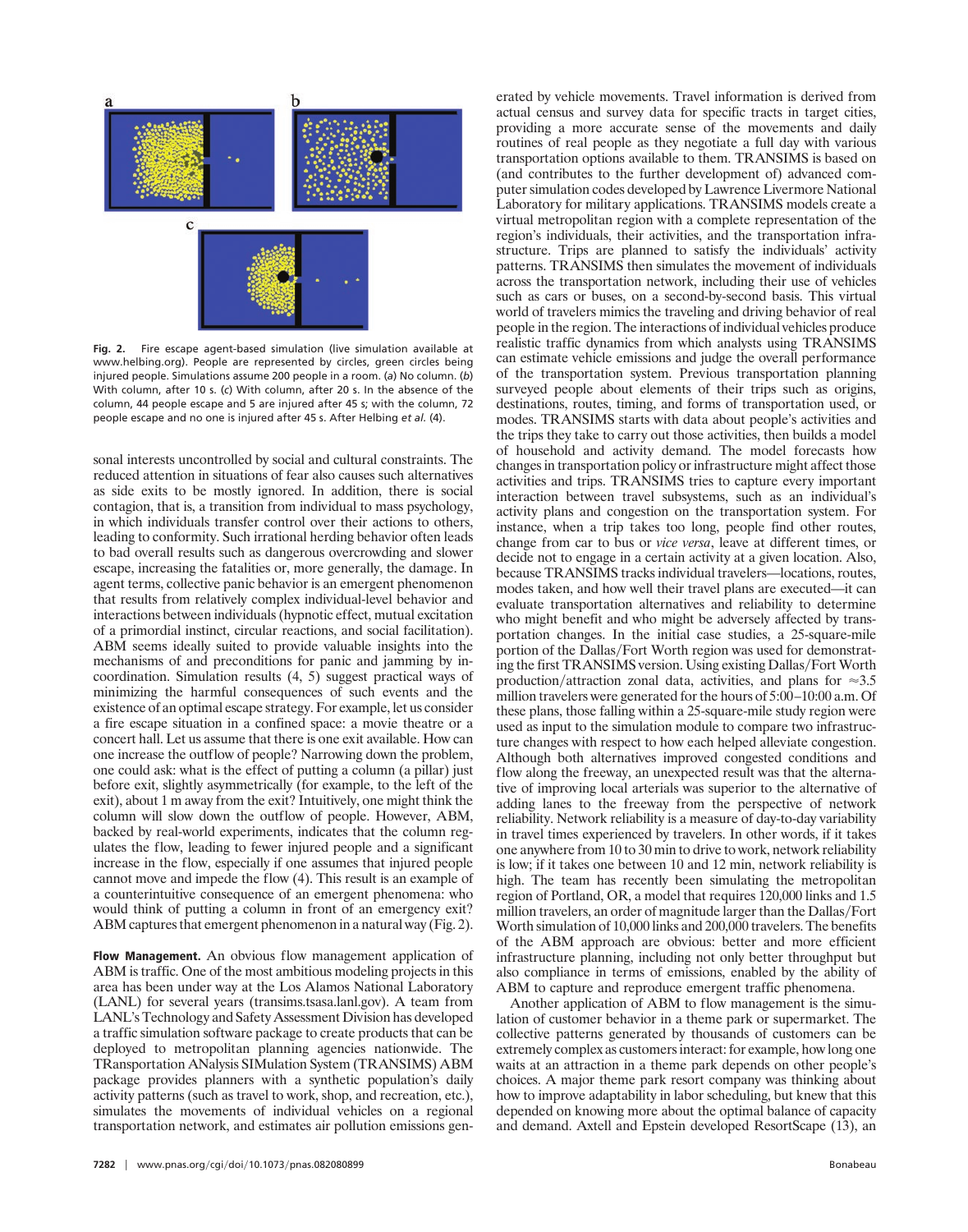

**Fig. 2.** Fire escape agent-based simulation (live simulation available at www.helbing.org). People are represented by circles, green circles being injured people. Simulations assume 200 people in a room. (*a*) No column. (*b*) With column, after 10 s. (*c*) With column, after 20 s. In the absence of the column, 44 people escape and 5 are injured after 45 s; with the column, 72 people escape and no one is injured after 45 s. After Helbing *et al.* (4).

sonal interests uncontrolled by social and cultural constraints. The reduced attention in situations of fear also causes such alternatives as side exits to be mostly ignored. In addition, there is social contagion, that is, a transition from individual to mass psychology, in which individuals transfer control over their actions to others, leading to conformity. Such irrational herding behavior often leads to bad overall results such as dangerous overcrowding and slower escape, increasing the fatalities or, more generally, the damage. In agent terms, collective panic behavior is an emergent phenomenon that results from relatively complex individual-level behavior and interactions between individuals (hypnotic effect, mutual excitation of a primordial instinct, circular reactions, and social facilitation). ABM seems ideally suited to provide valuable insights into the mechanisms of and preconditions for panic and jamming by incoordination. Simulation results (4, 5) suggest practical ways of minimizing the harmful consequences of such events and the existence of an optimal escape strategy. For example, let us consider a fire escape situation in a confined space: a movie theatre or a concert hall. Let us assume that there is one exit available. How can one increase the outflow of people? Narrowing down the problem, one could ask: what is the effect of putting a column (a pillar) just before exit, slightly asymmetrically (for example, to the left of the exit), about 1 m away from the exit? Intuitively, one might think the column will slow down the outflow of people. However, ABM, backed by real-world experiments, indicates that the column regulates the flow, leading to fewer injured people and a significant increase in the flow, especially if one assumes that injured people cannot move and impede the flow (4). This result is an example of a counterintuitive consequence of an emergent phenomena: who would think of putting a column in front of an emergency exit? ABM captures that emergent phenomenon in a natural way (Fig. 2).

**Flow Management.** An obvious flow management application of ABM is traffic. One of the most ambitious modeling projects in this area has been under way at the Los Alamos National Laboratory (LANL) for several years (transims.tsasa.lanl.gov). A team from LANL's Technology and Safety Assessment Division has developed a traffic simulation software package to create products that can be deployed to metropolitan planning agencies nationwide. The TRansportation ANalysis SIMulation System (TRANSIMS) ABM package provides planners with a synthetic population's daily activity patterns (such as travel to work, shop, and recreation, etc.), simulates the movements of individual vehicles on a regional transportation network, and estimates air pollution emissions gen-

**7282** | www.pnas.org/cgi/doi/10.1073/pnas.082080899 Bonabeau Bonabeau Bonabeau Bonabeau Bonabeau Bonabeau Bonabeau

erated by vehicle movements. Travel information is derived from actual census and survey data for specific tracts in target cities, providing a more accurate sense of the movements and daily routines of real people as they negotiate a full day with various transportation options available to them. TRANSIMS is based on (and contributes to the further development of) advanced computer simulation codes developed by Lawrence Livermore National Laboratory for military applications. TRANSIMS models create a virtual metropolitan region with a complete representation of the region's individuals, their activities, and the transportation infrastructure. Trips are planned to satisfy the individuals' activity patterns. TRANSIMS then simulates the movement of individuals across the transportation network, including their use of vehicles such as cars or buses, on a second-by-second basis. This virtual world of travelers mimics the traveling and driving behavior of real people in the region. The interactions of individual vehicles produce realistic traffic dynamics from which analysts using TRANSIMS can estimate vehicle emissions and judge the overall performance of the transportation system. Previous transportation planning surveyed people about elements of their trips such as origins, destinations, routes, timing, and forms of transportation used, or modes. TRANSIMS starts with data about people's activities and the trips they take to carry out those activities, then builds a model of household and activity demand. The model forecasts how changes in transportation policy or infrastructure might affect those activities and trips. TRANSIMS tries to capture every important interaction between travel subsystems, such as an individual's activity plans and congestion on the transportation system. For instance, when a trip takes too long, people find other routes, change from car to bus or *vice versa*, leave at different times, or decide not to engage in a certain activity at a given location. Also, because TRANSIMS tracks individual travelers—locations, routes, modes taken, and how well their travel plans are executed—it can evaluate transportation alternatives and reliability to determine who might benefit and who might be adversely affected by transportation changes. In the initial case studies, a 25-square-mile portion of the Dallas/Fort Worth region was used for demonstrating the first TRANSIMS version. Using existing Dallas/Fort Worth production/attraction zonal data, activities, and plans for  $\approx 3.5$ million travelers were generated for the hours of 5:00–10:00 a.m. Of these plans, those falling within a 25-square-mile study region were used as input to the simulation module to compare two infrastructure changes with respect to how each helped alleviate congestion. Although both alternatives improved congested conditions and flow along the freeway, an unexpected result was that the alternative of improving local arterials was superior to the alternative of adding lanes to the freeway from the perspective of network reliability. Network reliability is a measure of day-to-day variability in travel times experienced by travelers. In other words, if it takes one anywhere from 10 to 30 min to drive to work, network reliability is low; if it takes one between 10 and 12 min, network reliability is high. The team has recently been simulating the metropolitan region of Portland, OR, a model that requires 120,000 links and 1.5 million travelers, an order of magnitude larger than the Dallas/Fort Worth simulation of 10,000 links and 200,000 travelers. The benefits of the ABM approach are obvious: better and more efficient infrastructure planning, including not only better throughput but also compliance in terms of emissions, enabled by the ability of ABM to capture and reproduce emergent traffic phenomena.

Another application of ABM to flow management is the simulation of customer behavior in a theme park or supermarket. The collective patterns generated by thousands of customers can be extremely complex as customers interact: for example, how long one waits at an attraction in a theme park depends on other people's choices. A major theme park resort company was thinking about how to improve adaptability in labor scheduling, but knew that this depended on knowing more about the optimal balance of capacity and demand. Axtell and Epstein developed ResortScape (13), an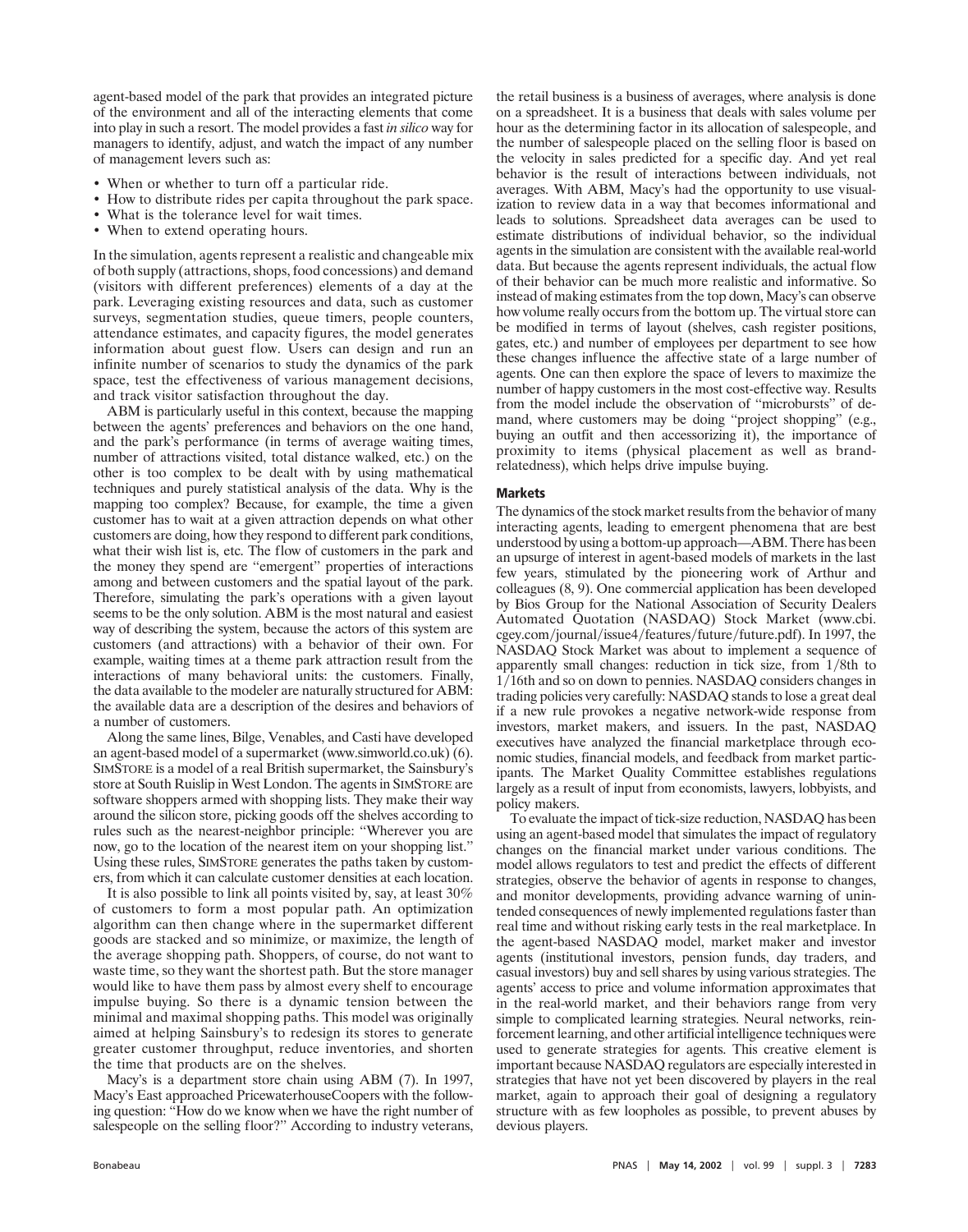agent-based model of the park that provides an integrated picture of the environment and all of the interacting elements that come into play in such a resort. The model provides a fast *in silico* way for managers to identify, adjust, and watch the impact of any number of management levers such as:

- When or whether to turn off a particular ride.
- How to distribute rides per capita throughout the park space.
- What is the tolerance level for wait times.
- When to extend operating hours.

In the simulation, agents represent a realistic and changeable mix of both supply (attractions, shops, food concessions) and demand (visitors with different preferences) elements of a day at the park. Leveraging existing resources and data, such as customer surveys, segmentation studies, queue timers, people counters, attendance estimates, and capacity figures, the model generates information about guest flow. Users can design and run an infinite number of scenarios to study the dynamics of the park space, test the effectiveness of various management decisions, and track visitor satisfaction throughout the day.

ABM is particularly useful in this context, because the mapping between the agents' preferences and behaviors on the one hand, and the park's performance (in terms of average waiting times, number of attractions visited, total distance walked, etc.) on the other is too complex to be dealt with by using mathematical techniques and purely statistical analysis of the data. Why is the mapping too complex? Because, for example, the time a given customer has to wait at a given attraction depends on what other customers are doing, how they respond to different park conditions, what their wish list is, etc. The flow of customers in the park and the money they spend are ''emergent'' properties of interactions among and between customers and the spatial layout of the park. Therefore, simulating the park's operations with a given layout seems to be the only solution. ABM is the most natural and easiest way of describing the system, because the actors of this system are customers (and attractions) with a behavior of their own. For example, waiting times at a theme park attraction result from the interactions of many behavioral units: the customers. Finally, the data available to the modeler are naturally structured for ABM: the available data are a description of the desires and behaviors of a number of customers.

Along the same lines, Bilge, Venables, and Casti have developed an agent-based model of a supermarket (www.simworld.co.uk) (6). SIMSTORE is a model of a real British supermarket, the Sainsbury's store at South Ruislip in West London. The agents in SIMSTORE are software shoppers armed with shopping lists. They make their way around the silicon store, picking goods off the shelves according to rules such as the nearest-neighbor principle: ''Wherever you are now, go to the location of the nearest item on your shopping list.'' Using these rules, SIMSTORE generates the paths taken by customers, from which it can calculate customer densities at each location.

It is also possible to link all points visited by, say, at least 30% of customers to form a most popular path. An optimization algorithm can then change where in the supermarket different goods are stacked and so minimize, or maximize, the length of the average shopping path. Shoppers, of course, do not want to waste time, so they want the shortest path. But the store manager would like to have them pass by almost every shelf to encourage impulse buying. So there is a dynamic tension between the minimal and maximal shopping paths. This model was originally aimed at helping Sainsbury's to redesign its stores to generate greater customer throughput, reduce inventories, and shorten the time that products are on the shelves.

Macy's is a department store chain using ABM (7). In 1997, Macy's East approached PricewaterhouseCoopers with the following question: ''How do we know when we have the right number of salespeople on the selling floor?'' According to industry veterans,

the retail business is a business of averages, where analysis is done on a spreadsheet. It is a business that deals with sales volume per hour as the determining factor in its allocation of salespeople, and the number of salespeople placed on the selling floor is based on the velocity in sales predicted for a specific day. And yet real behavior is the result of interactions between individuals, not averages. With ABM, Macy's had the opportunity to use visualization to review data in a way that becomes informational and leads to solutions. Spreadsheet data averages can be used to estimate distributions of individual behavior, so the individual agents in the simulation are consistent with the available real-world data. But because the agents represent individuals, the actual flow of their behavior can be much more realistic and informative. So instead of making estimates from the top down, Macy's can observe how volume really occurs from the bottom up. The virtual store can be modified in terms of layout (shelves, cash register positions, gates, etc.) and number of employees per department to see how these changes influence the affective state of a large number of agents. One can then explore the space of levers to maximize the number of happy customers in the most cost-effective way. Results from the model include the observation of ''microbursts'' of demand, where customers may be doing "project shopping" (e.g., buying an outfit and then accessorizing it), the importance of proximity to items (physical placement as well as brandrelatedness), which helps drive impulse buying.

#### **Markets**

The dynamics of the stock market results from the behavior of many interacting agents, leading to emergent phenomena that are best understood by using a bottom-up approach—ABM. There has been an upsurge of interest in agent-based models of markets in the last few years, stimulated by the pioneering work of Arthur and colleagues (8, 9). One commercial application has been developed by Bios Group for the National Association of Security Dealers Automated Quotation (NASDAQ) Stock Market (www.cbi. cgey.com/journal/issue4/features/future/future.pdf). In 1997, the NASDAQ Stock Market was about to implement a sequence of apparently small changes: reduction in tick size, from  $1/8$ th to 116th and so on down to pennies. NASDAQ considers changes in trading policies very carefully: NASDAQ stands to lose a great deal if a new rule provokes a negative network-wide response from investors, market makers, and issuers. In the past, NASDAQ executives have analyzed the financial marketplace through economic studies, financial models, and feedback from market participants. The Market Quality Committee establishes regulations largely as a result of input from economists, lawyers, lobbyists, and policy makers.

To evaluate the impact of tick-size reduction, NASDAQ has been using an agent-based model that simulates the impact of regulatory changes on the financial market under various conditions. The model allows regulators to test and predict the effects of different strategies, observe the behavior of agents in response to changes, and monitor developments, providing advance warning of unintended consequences of newly implemented regulations faster than real time and without risking early tests in the real marketplace. In the agent-based NASDAQ model, market maker and investor agents (institutional investors, pension funds, day traders, and casual investors) buy and sell shares by using various strategies. The agents' access to price and volume information approximates that in the real-world market, and their behaviors range from very simple to complicated learning strategies. Neural networks, reinforcement learning, and other artificial intelligence techniques were used to generate strategies for agents. This creative element is important because NASDAQ regulators are especially interested in strategies that have not yet been discovered by players in the real market, again to approach their goal of designing a regulatory structure with as few loopholes as possible, to prevent abuses by devious players.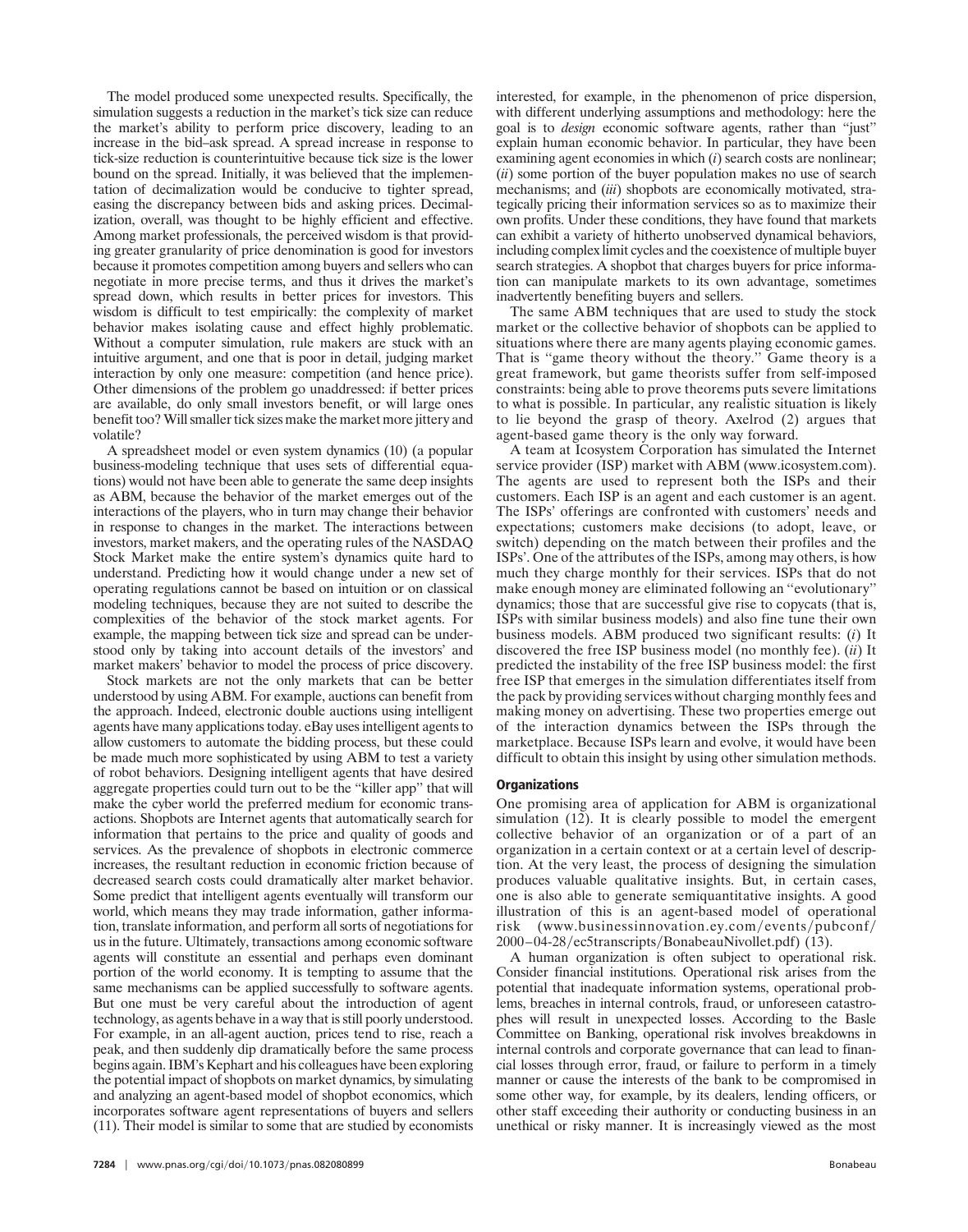The model produced some unexpected results. Specifically, the simulation suggests a reduction in the market's tick size can reduce the market's ability to perform price discovery, leading to an increase in the bid–ask spread. A spread increase in response to tick-size reduction is counterintuitive because tick size is the lower bound on the spread. Initially, it was believed that the implementation of decimalization would be conducive to tighter spread, easing the discrepancy between bids and asking prices. Decimalization, overall, was thought to be highly efficient and effective. Among market professionals, the perceived wisdom is that providing greater granularity of price denomination is good for investors because it promotes competition among buyers and sellers who can negotiate in more precise terms, and thus it drives the market's spread down, which results in better prices for investors. This wisdom is difficult to test empirically: the complexity of market behavior makes isolating cause and effect highly problematic. Without a computer simulation, rule makers are stuck with an intuitive argument, and one that is poor in detail, judging market interaction by only one measure: competition (and hence price). Other dimensions of the problem go unaddressed: if better prices are available, do only small investors benefit, or will large ones benefit too? Will smaller tick sizes make the market more jittery and volatile?

A spreadsheet model or even system dynamics (10) (a popular business-modeling technique that uses sets of differential equations) would not have been able to generate the same deep insights as ABM, because the behavior of the market emerges out of the interactions of the players, who in turn may change their behavior in response to changes in the market. The interactions between investors, market makers, and the operating rules of the NASDAQ Stock Market make the entire system's dynamics quite hard to understand. Predicting how it would change under a new set of operating regulations cannot be based on intuition or on classical modeling techniques, because they are not suited to describe the complexities of the behavior of the stock market agents. For example, the mapping between tick size and spread can be understood only by taking into account details of the investors' and market makers' behavior to model the process of price discovery.

Stock markets are not the only markets that can be better understood by using ABM. For example, auctions can benefit from the approach. Indeed, electronic double auctions using intelligent agents have many applications today. eBay uses intelligent agents to allow customers to automate the bidding process, but these could be made much more sophisticated by using ABM to test a variety of robot behaviors. Designing intelligent agents that have desired aggregate properties could turn out to be the ''killer app'' that will make the cyber world the preferred medium for economic transactions. Shopbots are Internet agents that automatically search for information that pertains to the price and quality of goods and services. As the prevalence of shopbots in electronic commerce increases, the resultant reduction in economic friction because of decreased search costs could dramatically alter market behavior. Some predict that intelligent agents eventually will transform our world, which means they may trade information, gather information, translate information, and perform all sorts of negotiations for us in the future. Ultimately, transactions among economic software agents will constitute an essential and perhaps even dominant portion of the world economy. It is tempting to assume that the same mechanisms can be applied successfully to software agents. But one must be very careful about the introduction of agent technology, as agents behave in a way that is still poorly understood. For example, in an all-agent auction, prices tend to rise, reach a peak, and then suddenly dip dramatically before the same process begins again. IBM's Kephart and his colleagues have been exploring the potential impact of shopbots on market dynamics, by simulating and analyzing an agent-based model of shopbot economics, which incorporates software agent representations of buyers and sellers (11). Their model is similar to some that are studied by economists

interested, for example, in the phenomenon of price dispersion, with different underlying assumptions and methodology: here the goal is to *design* economic software agents, rather than ''just'' explain human economic behavior. In particular, they have been examining agent economies in which (*i*) search costs are nonlinear; (*ii*) some portion of the buyer population makes no use of search mechanisms; and (*iii*) shopbots are economically motivated, strategically pricing their information services so as to maximize their own profits. Under these conditions, they have found that markets can exhibit a variety of hitherto unobserved dynamical behaviors, including complex limit cycles and the coexistence of multiple buyer search strategies. A shopbot that charges buyers for price information can manipulate markets to its own advantage, sometimes inadvertently benefiting buyers and sellers.

The same ABM techniques that are used to study the stock market or the collective behavior of shopbots can be applied to situations where there are many agents playing economic games. That is "game theory without the theory." Game theory is a great framework, but game theorists suffer from self-imposed constraints: being able to prove theorems puts severe limitations to what is possible. In particular, any realistic situation is likely to lie beyond the grasp of theory. Axelrod (2) argues that agent-based game theory is the only way forward.

A team at Icosystem Corporation has simulated the Internet service provider (ISP) market with ABM (www.icosystem.com). The agents are used to represent both the ISPs and their customers. Each ISP is an agent and each customer is an agent. The ISPs' offerings are confronted with customers' needs and expectations; customers make decisions (to adopt, leave, or switch) depending on the match between their profiles and the ISPs'. One of the attributes of the ISPs, among may others, is how much they charge monthly for their services. ISPs that do not make enough money are eliminated following an ''evolutionary'' dynamics; those that are successful give rise to copycats (that is, ISPs with similar business models) and also fine tune their own business models. ABM produced two significant results: (*i*) It discovered the free ISP business model (no monthly fee). (*ii*) It predicted the instability of the free ISP business model: the first free ISP that emerges in the simulation differentiates itself from the pack by providing services without charging monthly fees and making money on advertising. These two properties emerge out of the interaction dynamics between the ISPs through the marketplace. Because ISPs learn and evolve, it would have been difficult to obtain this insight by using other simulation methods.

#### **Organizations**

One promising area of application for ABM is organizational simulation (12). It is clearly possible to model the emergent collective behavior of an organization or of a part of an organization in a certain context or at a certain level of description. At the very least, the process of designing the simulation produces valuable qualitative insights. But, in certain cases, one is also able to generate semiquantitative insights. A good illustration of this is an agent-based model of operational risk (www.businessinnovation.ey.com/events/pubconf/ 2000–04-28/ec5transcripts/BonabeauNivollet.pdf) (13).

A human organization is often subject to operational risk. Consider financial institutions. Operational risk arises from the potential that inadequate information systems, operational problems, breaches in internal controls, fraud, or unforeseen catastrophes will result in unexpected losses. According to the Basle Committee on Banking, operational risk involves breakdowns in internal controls and corporate governance that can lead to financial losses through error, fraud, or failure to perform in a timely manner or cause the interests of the bank to be compromised in some other way, for example, by its dealers, lending officers, or other staff exceeding their authority or conducting business in an unethical or risky manner. It is increasingly viewed as the most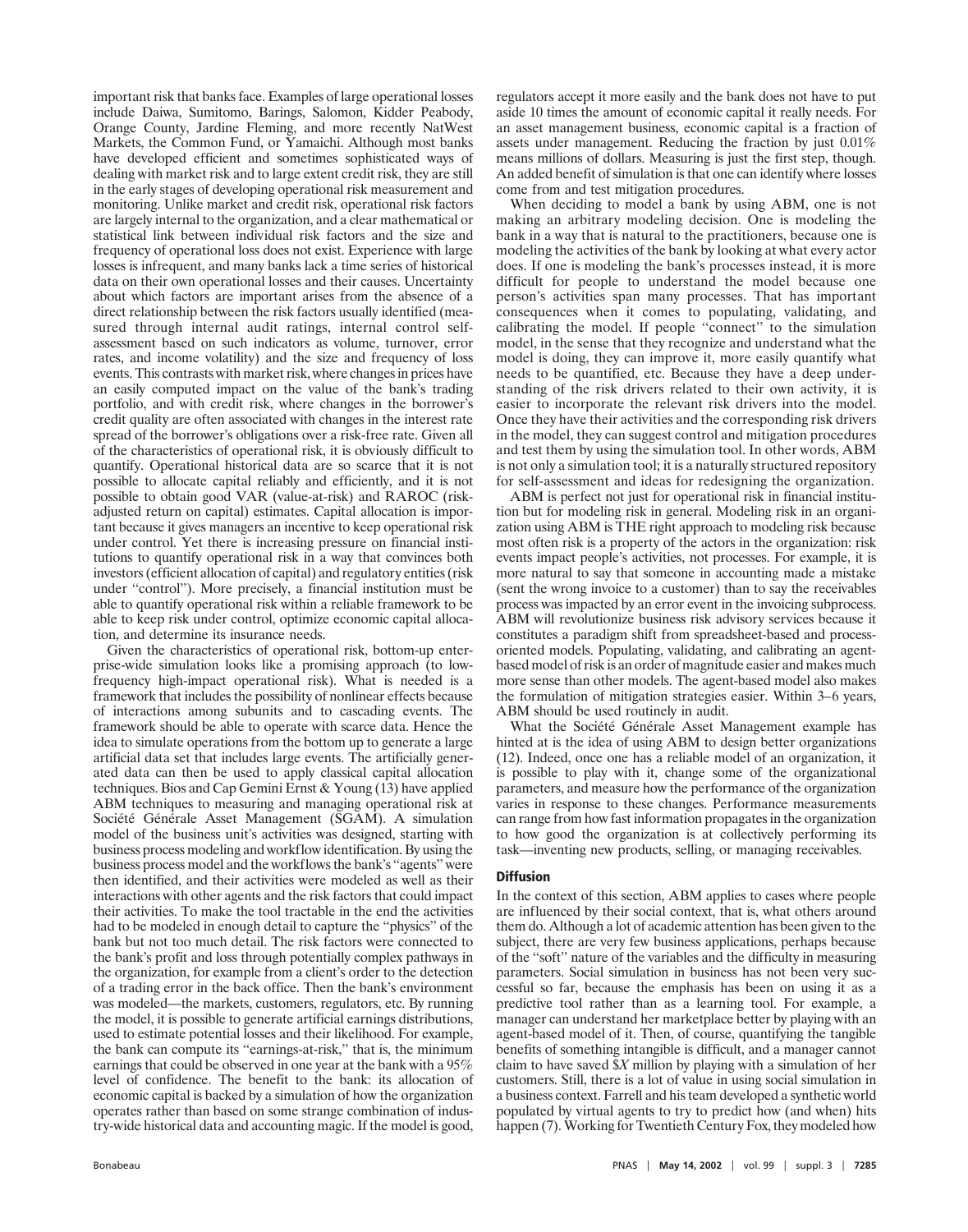important risk that banks face. Examples of large operational losses include Daiwa, Sumitomo, Barings, Salomon, Kidder Peabody, Orange County, Jardine Fleming, and more recently NatWest Markets, the Common Fund, or Yamaichi. Although most banks have developed efficient and sometimes sophisticated ways of dealing with market risk and to large extent credit risk, they are still in the early stages of developing operational risk measurement and monitoring. Unlike market and credit risk, operational risk factors are largely internal to the organization, and a clear mathematical or statistical link between individual risk factors and the size and frequency of operational loss does not exist. Experience with large losses is infrequent, and many banks lack a time series of historical data on their own operational losses and their causes. Uncertainty about which factors are important arises from the absence of a direct relationship between the risk factors usually identified (measured through internal audit ratings, internal control selfassessment based on such indicators as volume, turnover, error rates, and income volatility) and the size and frequency of loss events. This contrasts with market risk, where changes in prices have an easily computed impact on the value of the bank's trading portfolio, and with credit risk, where changes in the borrower's credit quality are often associated with changes in the interest rate spread of the borrower's obligations over a risk-free rate. Given all of the characteristics of operational risk, it is obviously difficult to quantify. Operational historical data are so scarce that it is not possible to allocate capital reliably and efficiently, and it is not possible to obtain good VAR (value-at-risk) and RAROC (riskadjusted return on capital) estimates. Capital allocation is important because it gives managers an incentive to keep operational risk under control. Yet there is increasing pressure on financial institutions to quantify operational risk in a way that convinces both investors (efficient allocation of capital) and regulatory entities (risk under ''control''). More precisely, a financial institution must be able to quantify operational risk within a reliable framework to be able to keep risk under control, optimize economic capital allocation, and determine its insurance needs.

Given the characteristics of operational risk, bottom-up enterprise-wide simulation looks like a promising approach (to lowfrequency high-impact operational risk). What is needed is a framework that includes the possibility of nonlinear effects because of interactions among subunits and to cascading events. The framework should be able to operate with scarce data. Hence the idea to simulate operations from the bottom up to generate a large artificial data set that includes large events. The artificially generated data can then be used to apply classical capital allocation techniques. Bios and Cap Gemini Ernst & Young (13) have applied ABM techniques to measuring and managing operational risk at Société Générale Asset Management (SGAM). A simulation model of the business unit's activities was designed, starting with business process modeling and workflow identification. By using the business process model and the workflows the bank's''agents'' were then identified, and their activities were modeled as well as their interactions with other agents and the risk factors that could impact their activities. To make the tool tractable in the end the activities had to be modeled in enough detail to capture the ''physics'' of the bank but not too much detail. The risk factors were connected to the bank's profit and loss through potentially complex pathways in the organization, for example from a client's order to the detection of a trading error in the back office. Then the bank's environment was modeled—the markets, customers, regulators, etc. By running the model, it is possible to generate artificial earnings distributions, used to estimate potential losses and their likelihood. For example, the bank can compute its ''earnings-at-risk,'' that is, the minimum earnings that could be observed in one year at the bank with a 95% level of confidence. The benefit to the bank: its allocation of economic capital is backed by a simulation of how the organization operates rather than based on some strange combination of industry-wide historical data and accounting magic. If the model is good,

regulators accept it more easily and the bank does not have to put aside 10 times the amount of economic capital it really needs. For an asset management business, economic capital is a fraction of assets under management. Reducing the fraction by just 0.01% means millions of dollars. Measuring is just the first step, though. An added benefit of simulation is that one can identify where losses come from and test mitigation procedures.

When deciding to model a bank by using ABM, one is not making an arbitrary modeling decision. One is modeling the bank in a way that is natural to the practitioners, because one is modeling the activities of the bank by looking at what every actor does. If one is modeling the bank's processes instead, it is more difficult for people to understand the model because one person's activities span many processes. That has important consequences when it comes to populating, validating, and calibrating the model. If people ''connect'' to the simulation model, in the sense that they recognize and understand what the model is doing, they can improve it, more easily quantify what needs to be quantified, etc. Because they have a deep understanding of the risk drivers related to their own activity, it is easier to incorporate the relevant risk drivers into the model. Once they have their activities and the corresponding risk drivers in the model, they can suggest control and mitigation procedures and test them by using the simulation tool. In other words, ABM is not only a simulation tool; it is a naturally structured repository for self-assessment and ideas for redesigning the organization.

ABM is perfect not just for operational risk in financial institution but for modeling risk in general. Modeling risk in an organization using ABM is THE right approach to modeling risk because most often risk is a property of the actors in the organization: risk events impact people's activities, not processes. For example, it is more natural to say that someone in accounting made a mistake (sent the wrong invoice to a customer) than to say the receivables process was impacted by an error event in the invoicing subprocess. ABM will revolutionize business risk advisory services because it constitutes a paradigm shift from spreadsheet-based and processoriented models. Populating, validating, and calibrating an agentbased model of risk is an order of magnitude easier and makes much more sense than other models. The agent-based model also makes the formulation of mitigation strategies easier. Within 3–6 years, ABM should be used routinely in audit.

What the Société Générale Asset Management example has hinted at is the idea of using ABM to design better organizations (12). Indeed, once one has a reliable model of an organization, it is possible to play with it, change some of the organizational parameters, and measure how the performance of the organization varies in response to these changes. Performance measurements can range from how fast information propagates in the organization to how good the organization is at collectively performing its task—inventing new products, selling, or managing receivables.

### **Diffusion**

In the context of this section, ABM applies to cases where people are influenced by their social context, that is, what others around them do. Although a lot of academic attention has been given to the subject, there are very few business applications, perhaps because of the ''soft'' nature of the variables and the difficulty in measuring parameters. Social simulation in business has not been very successful so far, because the emphasis has been on using it as a predictive tool rather than as a learning tool. For example, a manager can understand her marketplace better by playing with an agent-based model of it. Then, of course, quantifying the tangible benefits of something intangible is difficult, and a manager cannot claim to have saved \$*X* million by playing with a simulation of her customers. Still, there is a lot of value in using social simulation in a business context. Farrell and his team developed a synthetic world populated by virtual agents to try to predict how (and when) hits happen (7). Working for Twentieth Century Fox, they modeled how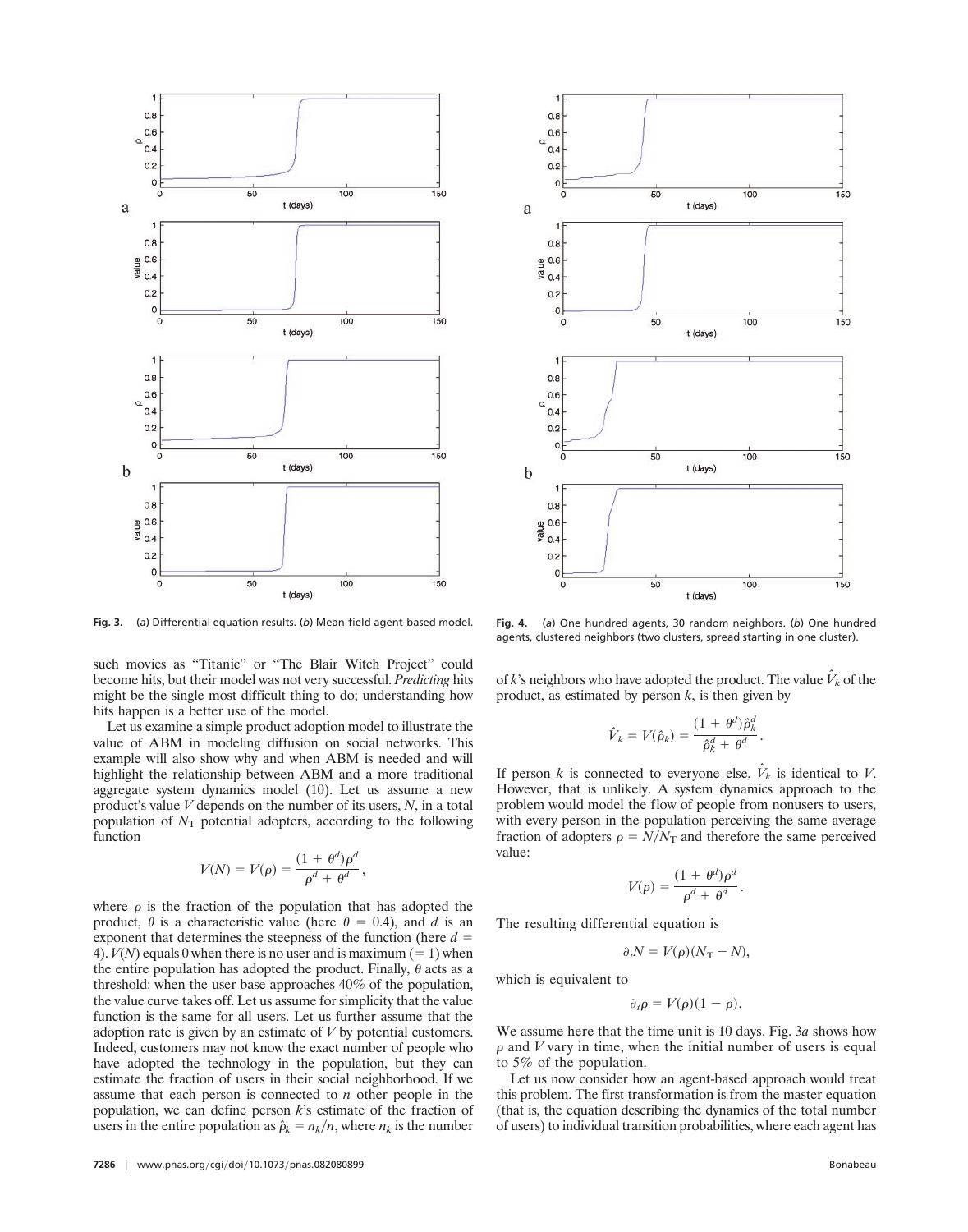

such movies as "Titanic" or "The Blair Witch Project" could become hits, but their model was not very successful. *Predicting* hits might be the single most difficult thing to do; understanding how hits happen is a better use of the model.

Let us examine a simple product adoption model to illustrate the value of ABM in modeling diffusion on social networks. This example will also show why and when ABM is needed and will highlight the relationship between ABM and a more traditional aggregate system dynamics model (10). Let us assume a new product's value *V* depends on the number of its users, *N*, in a total population of  $N<sub>T</sub>$  potential adopters, according to the following function

$$
V(N) = V(\rho) = \frac{(1 + \theta^d)\rho^d}{\rho^d + \theta^d},
$$

where  $\rho$  is the fraction of the population that has adopted the product,  $\theta$  is a characteristic value (here  $\theta = 0.4$ ), and *d* is an exponent that determines the steepness of the function (here  $d =$ 4).  $V(N)$  equals 0 when there is no user and is maximum (= 1) when the entire population has adopted the product. Finally,  $\theta$  acts as a threshold: when the user base approaches 40% of the population, the value curve takes off. Let us assume for simplicity that the value function is the same for all users. Let us further assume that the adoption rate is given by an estimate of *V* by potential customers. Indeed, customers may not know the exact number of people who have adopted the technology in the population, but they can estimate the fraction of users in their social neighborhood. If we assume that each person is connected to *n* other people in the population, we can define person *k*'s estimate of the fraction of users in the entire population as  $\hat{\rho}_k = n_k/n$ , where  $n_k$  is the number



**Fig. 3.** (*a*) Differential equation results. (*b*) Mean-field agent-based model. **Fig. 4.** (*a*) One hundred agents, 30 random neighbors. (*b*) One hundred agents, clustered neighbors (two clusters, spread starting in one cluster).

of *k*'s neighbors who have adopted the product. The value  $V_k$  of the product, as estimated by person  $k$ , is then given by

$$
\hat{V}_k = V(\hat{\rho}_k) = \frac{(1 + \theta^d)\hat{\rho}_k^d}{\hat{\rho}_k^d + \theta^d}.
$$

If person *k* is connected to everyone else,  $V_k$  is identical to *V*. However, that is unlikely. A system dynamics approach to the problem would model the flow of people from nonusers to users, with every person in the population perceiving the same average fraction of adopters  $\rho = N/N_T$  and therefore the same perceived value:

$$
V(\rho) = \frac{(1 + \theta^d)\rho^d}{\rho^d + \theta^d}.
$$

The resulting differential equation is

$$
\partial_t N = V(\rho)(N_{\rm T} - N),
$$

which is equivalent to

$$
\partial_t \rho = V(\rho)(1-\rho).
$$

We assume here that the time unit is 10 days. Fig. 3*a* shows how  $\rho$  and *V* vary in time, when the initial number of users is equal to 5% of the population.

Let us now consider how an agent-based approach would treat this problem. The first transformation is from the master equation (that is, the equation describing the dynamics of the total number of users) to individual transition probabilities, where each agent has